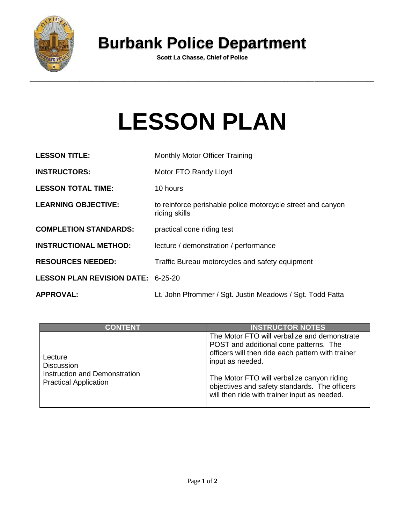

## **Burbank Police Department**

**Scott La Chasse, Chief of Police**

## **LESSON PLAN**

| <b>LESSON TITLE:</b>                      | Monthly Motor Officer Training                                               |  |
|-------------------------------------------|------------------------------------------------------------------------------|--|
| <b>INSTRUCTORS:</b>                       | Motor FTO Randy Lloyd                                                        |  |
| <b>LESSON TOTAL TIME:</b>                 | 10 hours                                                                     |  |
| <b>LEARNING OBJECTIVE:</b>                | to reinforce perishable police motorcycle street and canyon<br>riding skills |  |
| <b>COMPLETION STANDARDS:</b>              | practical cone riding test                                                   |  |
| <b>INSTRUCTIONAL METHOD:</b>              | lecture / demonstration / performance                                        |  |
| <b>RESOURCES NEEDED:</b>                  | Traffic Bureau motorcycles and safety equipment                              |  |
| <b>LESSON PLAN REVISION DATE: 6-25-20</b> |                                                                              |  |
| <b>APPROVAL:</b>                          | Lt. John Pfrommer / Sgt. Justin Meadows / Sgt. Todd Fatta                    |  |

| <b>CONTENT</b>                                                                                | <b>INSTRUCTOR NOTES</b>                                                                                                                                                                                                                                                                                        |
|-----------------------------------------------------------------------------------------------|----------------------------------------------------------------------------------------------------------------------------------------------------------------------------------------------------------------------------------------------------------------------------------------------------------------|
| Lecture<br><b>Discussion</b><br>Instruction and Demonstration<br><b>Practical Application</b> | The Motor FTO will verbalize and demonstrate<br>POST and additional cone patterns. The<br>officers will then ride each pattern with trainer<br>input as needed.<br>The Motor FTO will verbalize canyon riding<br>objectives and safety standards. The officers<br>will then ride with trainer input as needed. |